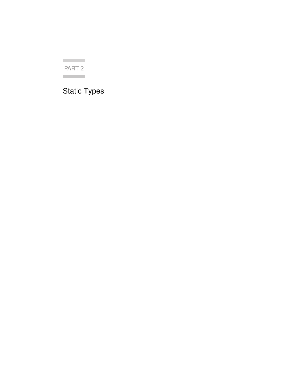**Contract Contract** PART 2 **Contract** 

## Static Types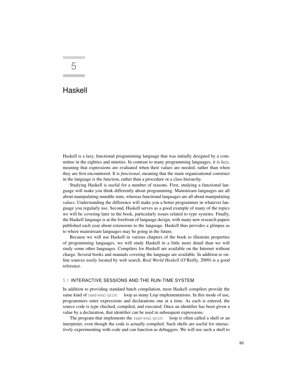# 5

### Haskell

Haskell is a lazy, functional programming language that was initially designed by a committee in the eighties and nineties. In contrast to many programming languages, it is *lazy*, meaning that expressions are evaluated when their values are needed, rather than when they are first encountered. It is *functional*, meaning that the main organizational construct in the language is the function, rather than a procedure or a class hierarchy.

Studying Haskell is useful for a number of reasons. First, studying a functional language will make you think differently about programming. Mainstream languages are all about manipulating mutable state, whereas functional languages are all about manipulating *values*. Understanding the difference will make you a better programmer in whatever language you regularly use. Second, Haskell serves as a good example of many of the topics we will be covering later in the book, particularly issues related to type systems. Finally, the Haskell language is at the forefront of language design, with many new research papers published each year about extensions to the language. Haskell thus provides a glimpse as to where mainstream languages may be going in the future.

Because we will use Haskell in various chapters of the book to illustrate properties of programming languages, we will study Haskell in a little more detail than we will study some other languages. Compilers for Haskell are available on the Internet without charge. Several books and manuals covering the language are available. In addition to online sources easily located by web search, *Real World Haskell* (O'Reilly, 2009) is a good reference.

#### 5.1 INTERACTIVE SESSIONS AND THE RUN-TIME SYSTEM

In addition to providing standard batch compilation, most Haskell compilers provide the same kind of read-eval-print loop as many Lisp implementations. In this mode of use, programmers enter expressions and declarations one at a time. As each is entered, the source code is type checked, compiled, and executed. Once an identifier has been given a value by a declaration, that identifier can be used in subsequent expressions.

The program that implements the read-eval-print loop is often called a shell or an interpreter, even though the code is actually compiled. Such shells are useful for interactively experimenting with code and can function as debuggers. We will use such a shell to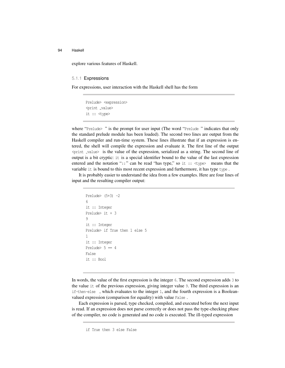explore various features of Haskell.

#### 5.1.1 Expressions

For expressions, user interaction with the Haskell shell has the form

Prelude> <expression> <print \_value> it :: <type>

where "Prelude>" is the prompt for user input (The word "Prelude" indicates that only the standard prelude module has been loaded). The second two lines are output from the Haskell compiler and run-time system. These lines illustrate that if an expression is entered, the shell will compile the expression and evaluate it. The first line of the output  $\phi$   $\phi$  and  $\phi$  is the value of the expression, serialized as a string. The second line of output is a bit cryptic: it is a special identifier bound to the value of the last expression entered and the notation "::" can be read "has type," so it :: <type> means that the variable it is bound to this most recent expression and furthermore, it has type type.

It is probably easier to understand the idea from a few examples. Here are four lines of input and the resulting compiler output:

```
Prelude> (5+3) -26
it :: Integer
Prelude> it + 3
9
it :: Integer
Prelude> if True then 1 else 5
1
it :: Integer
Prelude> 5 = 4False
it :: Bool
```
In words, the value of the first expression is the integer 6. The second expression adds 3 to the value it of the previous expression, giving integer value 9. The third expression is an if-then-else , which evaluates to the integer 1, and the fourth expression is a Booleanvalued expression (comparison for equality) with value False .

Each expression is parsed, type checked, compiled, and executed before the next input is read. If an expression does not parse correctly or does not pass the type-checking phase of the compiler, no code is generated and no code is executed. The ill-typed expression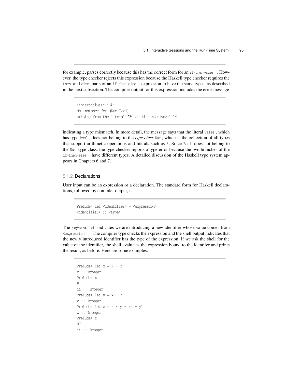for example, parses correctly because this has the correct form for an if-then-else . However, the type checker rejects this expression because the Haskell type checker requires the then and else parts of an if-then-else expression to have the same types, as described in the next subsection. The compiler output for this expression includes the error message

```
<interactive>:1:14:
No instance for (Num Bool)
arising from the literal '3' at <interactive>:1:14
```
indicating a type mismatch. In more detail, the message says that the literal False , which has type Bool , does not belong to the *type class* Num , which is the collection of all types that support arithmetic operations and literals such as 3. Since Bool does not belong to the Num type class, the type checker reports a type error because the two branches of the if-then-else have different types. A detailed discussion of the Haskell type system appears in Chapters 6 and 7.

#### 5.1.2 Declarations

User input can be an expression or a declaration. The standard form for Haskell declarations, followed by compiler output, is

```
Prelude> let <identifier> = <expression>
<identifier> :: <type>
```
The keyword let indicates we are introducing a new identifier whose value comes from <expression> . The compiler type checks the expression and the shell output indicates that the newly introduced identifier has the type of the expression. If we ask the shell for the value of the identifier, the shell evaluates the expression bound to the identifer and prints the result, as before. Here are some examples:

```
Prelude> let x = 7 + 2x :: Integer
Prelude> x
9
it :: Integer
Prelude> let y = x + 3y :: Integer
Prelude> let z = x * y - (x + y)z :: Integer
Prelude> z
87
it :: Integer
```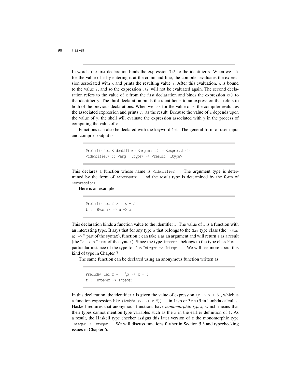In words, the first declaration binds the expression  $7+2$  to the identifier x. When we ask for the value of  $x$  by entering it at the command-line, the compiler evaluates the expression associated with x and prints the resulting value 9. After this evaluation, x is bound to the value 9, and so the expression 7+2 will not be evaluated again. The second declaration refers to the value of x from the first declaration and binds the expression  $x+3$  to the identifier  $y$ . The third declaration binds the identifier  $z$  to an expression that refers to both of the previous declarations. When we ask for the value of z, the compiler evaluates the associated expression and prints 87 as the result. Because the value of z depends upon the value of y, the shell will evaluate the expression associated with  $y$  in the process of computing the value of z.

Functions can also be declared with the keyword let . The general form of user input and compiler output is

```
Prelude> let <identifier> <arguments> = <expression>
<identifier> :: <arg _type> -> <result _type>
```
This declares a function whose name is <identifier> . The argument type is determined by the form of  $\langle$  arguments $\rangle$  and the result type is determined by the form of <expression> .

Here is an example:

```
Prelude> let f x = x + 5f :: (Num a) \Rightarrow a \rightarrow a
```
This declaration binds a function value to the identifier  $f$ . The value of  $f$  is a function with an interesting type. It says that for any type a that belongs to the Num type class (the "(Num a)  $\Rightarrow$  " part of the syntax), function f can take a as an argument and will return a as a result (the "a  $\rightarrow$  a" part of the syntax). Since the type Integer belongs to the type class Num, a particular instance of the type for  $f$  is Integer  $\rightarrow$  Integer  $\cdot$ . We will see more about this kind of type in Chapter 7.

The same function can be declared using an anonymous function written as

Prelude> let  $f = \sqrt{x} \rightarrow x + 5$ f :: Integer -> Integer

In this declaration, the identifier f is given the value of expression  $\chi \rightarrow x + 5$ , which is a function expression like (lambda (x)  $(+ x 5)$  in Lisp or  $\lambda x.x+5$  in lambda calculus. Haskell requires that anonymous functions have *monomorphic types*, which means that their types cannot mention type variables such as the a in the earlier definition of f. As a result, the Haskell type checker assigns this later version of f the monomorphic type Integer  $\rightarrow$  Integer . We will discuss functions further in Section 5.3 and typechecking issues in Chapter 6.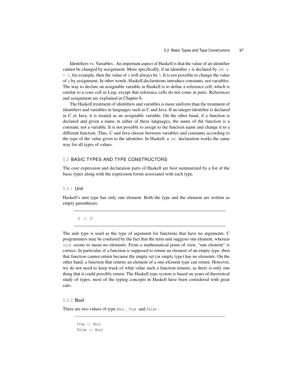Identifiers vs. Variables. An important aspect of Haskell is that the value of an identifier cannot be changed by assignment. More specifically, if an identifier  $x$  is declared by let  $x$  $= 3$ , for example, then the value of x will always be 3. It is not possible to change the value of x by assignment. In other words, Haskell declarations introduce constants, not variables. The way to declare an assignable variable in Haskell is to define a reference cell, which is similar to a cons cell in Lisp, except that reference cells do not come in pairs. References and assignment are explained in Chapter 8.

The Haskell treatment of identifiers and variables is more uniform than the treatment of identifiers and variables in languages such as C and Java. If an integer identifier is declared in C or Java, it is treated as an assignable variable. On the other hand, if a function is declared and given a name in either of these languages, the name of the function is a constant, not a variable. It is not possible to assign to the function name and change it to a different function. Thus, C and Java choose between variables and constants according to the type of the value given to the identifier. In Haskell, a let declaration works the same way for all types of values.

#### 5.2 BASIC TYPES AND TYPE CONSTRUCTORS

The core expression and declaration parts of Haskell are best summarized by a list of the basic types along with the expression forms associated with each type.

#### 5.2.1 Unit

Haskell's unit type has only one element. Both the type and the element are written as empty parentheses:

() :: ()

The unit type is used as the type of argument for functions that have no arguments. C programmers may be confused by the fact that the term unit suggests one element, whereas void seems to mean no elements. From a mathematical point of view, "one element" is correct. In particular, if a function is supposed to return an element of an empty type, then that function cannot return because the empty set (or empty type) has no elements. On the other hand, a function that returns an element of a one-element type can return. However, we do not need to keep track of what value such a function returns, as there is only one thing that it could possibly return. The Haskell type system is based on years of theoretical study of types; most of the typing concepts in Haskell have been considered with great care.

#### 5.2.2 Bool

There are two values of type Bool , True and False :

True :: Bool False :: Bool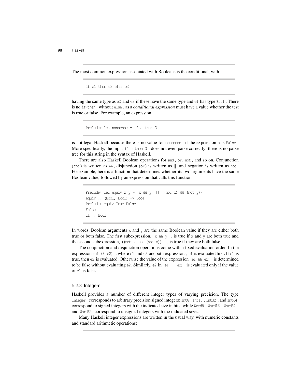The most common expression associated with Booleans is the conditional, with

```
if e1 then e2 else e3
```
having the same type as e2 and e3 if these have the same type and e1 has type Bool. There is no if-then without else , as a *conditional expression* must have a value whether the test is true or false. For example, an expression

```
Prelude> let nonsense = if a then 3
```
is not legal Haskell because there is no value for nonsense if the expression a is False. More specifically, the input if a then 3 does not even parse correctly; there is no parse tree for this string in the syntax of Haskell.

There are also Haskell Boolean operations for and , or , not , and so on. Conjunction (and ) is written as  $\&\&\&\,,$  disjunction (or ) is written as  $||\,,$  and negation is written as not. For example, here is a function that determines whether its two arguments have the same Boolean value, followed by an expression that calls this function:

```
Prelude> let equiv x y = (x \& y) || (x) + (x \& (x) \& (x)equiv :: (Bool, Bool) -> Bool
Prelude> equiv True False
False
it :: Bool
```
In words, Boolean arguments x and y are the same Boolean value if they are either both true or both false. The first subexpression,  $(x \& y)$ , is true if x and y are both true and the second subexpression,  $((\text{not } x) \& (\text{not } y))$ , is true if they are both false.

The conjunction and disjunction operations come with a fixed evaluation order. In the expression (e1  $\&\infty$  e2), where e1 and e2 are both expressions, e1 is evaluated first. If e1 is true, then e2 is evaluated. Otherwise the value of the expression (e1  $\&\&$  e2) is determined to be false without evaluating  $e^2$ . Similarly,  $e^2$  in  $(e1 \mid e^2)$  is evaluated only if the value of e1 is false.

#### 5.2.3 Integers

Haskell provides a number of different integer types of varying precision. The type Integer corresponds to arbitrary precision signed integers; Int8 , Int16 , Int32 , and Int64 correspond to signed integers with the indicated size in bits; while Word8 , Word16 , Word32 , and Word64 correspond to unsigned integers with the indicated sizes.

Many Haskell integer expressions are written in the usual way, with numeric constants and standard arithmetic operations: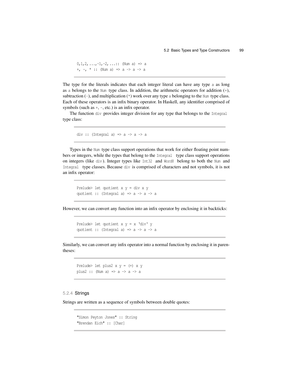$0, 1, 2, \ldots, -1, -2, \ldots$ : (Num a) => a +, -, \* :: (Num a) => a -> a -> a

The type for the literals indicates that each integer literal can have any type a as long as a belongs to the Num type class. In addition, the arithmetic operators for addition  $(+)$ , subtraction  $(-)$ , and multiplication  $(*)$  work over any type a belonging to the Num type class. Each of these operators is an infix binary operator. In Haskell, any identifier comprised of symbols (such as  $+$ ,  $-$ , etc.) is an infix operator.

The function div provides integer division for any type that belongs to the Integral type class:

div :: (Integral a) =>  $a \rightarrow a \rightarrow a$ 

Types in the Num type class support operations that work for either floating point numbers or integers, while the types that belong to the Integral type class support operations on integers (like div ). Integer types like Int32 and Word8 belong to both the Num and Integral type classes. Because div is comprised of characters and not symbols, it is not an infix operator:

Prelude> let quotient x y = div x y quotient :: (Integral a) =>  $a \rightarrow a \rightarrow a$ 

However, we can convert any function into an infix operator by enclosing it in backticks:

Prelude> let quotient  $x y = x 'div' y$ quotient :: (Integral a) =>  $a \rightarrow a \rightarrow a$ 

Similarly, we can convert any infix operator into a normal function by enclosing it in parentheses:

Prelude> let plus2  $x y = (+) x y$ plus2 :: (Num a)  $\Rightarrow$  a  $\Rightarrow$  a  $\Rightarrow$  a

#### 5.2.4 Strings

Strings are written as a sequence of symbols between double quotes:

```
"Simon Peyton Jones" :: String
"Brendan Eich" :: [Char]
```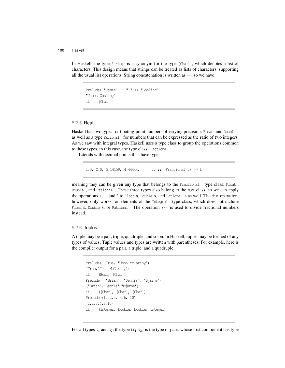In Haskell, the type String is a synonym for the type [Char] , which denotes a list of characters. This design means that strings can be treated as lists of characters, supporting all the usual list operations. String concatenation is written as ++ , so we have

```
Prelude> "James" ++ " " ++ "Gosling"
"James Gosling"
it :: [Char]
```
#### 5.2.5 Real

Haskell has two types for floating-point numbers of varying precision: Float and Double , as well as a type Rational for numbers that can be expressed as the ratio of two integers. As we saw with integral types, Haskell uses a type class to group the operations common to these types, in this case, the type class Fractional .

Literals with decimal points thus have type:

1.0, 2.0, 3.14159, 4.44444, *...* :: (Fractional t) => t

meaning they can be given any type that belongs to the Fractional type class: Float, Double , and Rational . These three types also belong to the Num class, so we can apply the operations +, -, and *<sup>∗</sup>* to Float s, Double s, and Rational s as well. The div operation, however, only works for elements of the Integral type class, which does not include Float s, Double s, or Rational . The operation  $\langle \cdot \rangle$  is used to divide fractional numbers instead.

#### 5.2.6 Tuples

A tuple may be a pair, triple, quadruple, and so on. In Haskell, tuples may be formed of any types of values. Tuple values and types are written with parentheses. For example, here is the compiler output for a pair, a triple, and a quadruple:

```
Prelude> (True, "John McCarthy")
(True,"John McCarthy")
it :: (Bool, [Char])Prelude> ("Brian", "Dennis", "Bjarne")
("Brian","Dennis","Bjarne")
it :: ([Char], [Char], [Char])
Prelude>(1, 2.3, 4.6, 10)
(1,2.3,4.6,10)
it :: (Integer, Double, Double, Integer)
```
For all types  $\tau_1$  and  $\tau_2$ , the type  $(\tau_1, \tau_2)$  is the type of pairs whose first component has type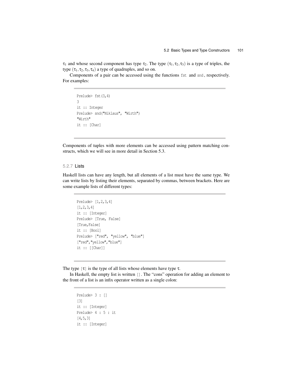$\tau_1$  and whose second component has type  $\tau_2$ . The type  $(\tau_1, \tau_2, \tau_3)$  is a type of triples, the type  $(\tau_1, \tau_2, \tau_3, \tau_4)$  a type of quadruples, and so on.

Components of a pair can be accessed using the functions fst and snd , respectively. For examples:

```
Prelude> fst(3,4)
3
it :: Integer
Prelude> snd("Niklaus", "Wirth")
"Wirth"
it :: [Char]
```
Components of tuples with more elements can be accessed using pattern matching constructs, which we will see in more detail in Section 5.3.

#### 5.2.7 Lists

Haskell lists can have any length, but all elements of a list must have the same type. We can write lists by listing their elements, separated by commas, between brackets. Here are some example lists of different types:

```
Prelude> [1,2,3,4]
[1, 2, 3, 4]it :: [Integer]
Prelude> [True, False]
[True,False]
it :: [Bool]
Prelude> ["red", "yellow", "blue"]
["red","yellow","blue"]
it :: [[Char]]
```
The type  $[\tau]$  is the type of all lists whose elements have type  $\tau$ .

In Haskell, the empty list is written []. The "cons" operation for adding an element to the front of a list is an infix operator written as a single colon:

```
Prelude> 3 : []
[3]
it :: [Integer]
Prelude> 4 : 5 : it
[4, 5, 3]it :: [Integer]
```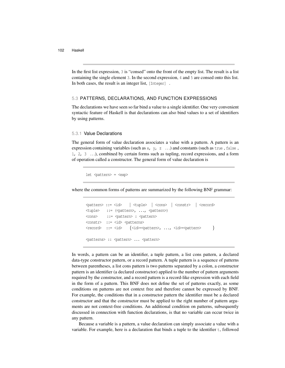In the first list expression, 3 is "consed" onto the front of the empty list. The result is a list containing the single element 3. In the second expression, 4 and 5 are consed onto this list. In both cases, the result is an integer list, [Integer] .

#### 5.3 PATTERNS, DECLARATIONS, AND FUNCTION EXPRESSIONS

The declarations we have seen so far bind a value to a single identifier. One very convenient syntactic feature of Haskell is that declarations can also bind values to a set of identifiers by using patterns.

#### 5.3.1 Value Declarations

The general form of value declaration associates a value with a pattern. A pattern is an expression containing variables (such as x, y, z *...*) and constants (such as true , false , 1, 2, 3 *...*), combined by certain forms such as tupling, record expressions, and a form of operation called a constructor. The general form of value declaration is

let <pattern> = <exp>

where the common forms of patterns are summarized by the following BNF grammar:

```
<pattern> ::= <id> | <tuple> | <cons> | <constr> | <record>
<tuple> ::= (<pattern>, ..., <pattern>)
<cons> ::= <pattern> : <pattern>
<constr> ::= <id> <patterns>
<record> ::= <id> {<id>=<pattern>, ..., <id>=<pattern> }
<patterns> :: <pattern> ... <pattern>
```
In words, a pattern can be an identifier, a tuple pattern, a list cons pattern, a declared data-type constructor pattern, or a record pattern. A tuple pattern is a sequence of patterns between parentheses, a list cons pattern is two patterns separated by a colon, a constructor pattern is an identifier (a declared constructor) applied to the number of pattern arguments required by the constructor, and a record pattern is a record-like expression with each field in the form of a pattern. This BNF does not define the set of patterns exactly, as some conditions on patterns are not context free and therefore cannot be expressed by BNF. For example, the conditions that in a constructor pattern the identifier must be a declared constructor and that the constructor must be applied to the right number of pattern arguments are not context-free conditions. An additional condition on patterns, subsequently discussed in connection with function declarations, is that no variable can occur twice in any pattern.

Because a variable is a pattern, a value declaration can simply associate a value with a variable. For example, here is a declaration that binds a tuple to the identifier t, followed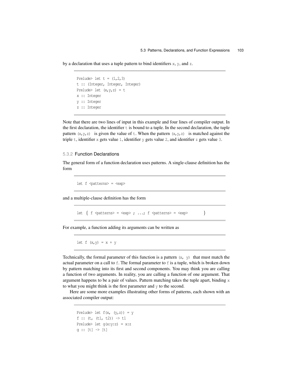by a declaration that uses a tuple pattern to bind identifiers  $x$ ,  $y$ , and  $z$ .

```
Prelude> let t = (1, 2, 3)t :: (Integer, Integer, Integer)
Prelude> let (x,y,z) = tx :: Integer
y :: Integer
z :: Integer
```
Note that there are two lines of input in this example and four lines of compiler output. In the first declaration, the identifier  $t$  is bound to a tuple. In the second declaration, the tuple pattern  $(x,y,z)$  is given the value of t. When the pattern  $(x,y,z)$  is matched against the triple t, identifier x gets value 1, identifier y gets value 2, and identifier z gets value 3.

#### 5.3.2 Function Declarations

The general form of a function declaration uses patterns. A single-clause definition has the form

let f <patterns> = <exp>

and a multiple-clause definition has the form

let  $\{ f \simeq f \text{ in } x \mapsto x \mapsto f \text{ in } x \mapsto f \text{ in } x \mapsto x \mapsto f(x) \in \{ f \text{ in } x \mapsto f(x) \}$ 

For example, a function adding its arguments can be written as

let f  $(x, y) = x + y$ 

Technically, the formal parameter of this function is a pattern  $(x, y)$  that must match the actual parameter on a call to f. The formal parameter to f is a tuple, which is broken down by pattern matching into its first and second components. You may think you are calling a function of two arguments. In reality, you are calling a function of one argument. That argument happens to be a pair of values. Pattern matching takes the tuple apart, binding x to what you might think is the first parameter and y to the second.

Here are some more examples illustrating other forms of patterns, each shown with an associated compiler output:

```
Prelude> let f(x, (y, z)) = yf :: (t, (t1, t2)) \rightarrow t1
Prelude> let g(x:y:z) = x:zq :: [t] \rightarrow [t]
```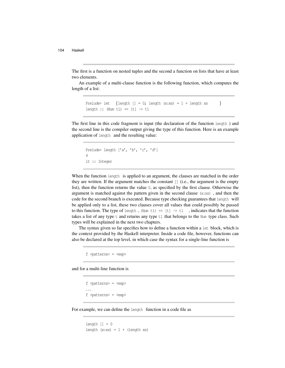The first is a function on nested tuples and the second a function on lists that have at least two elements.

An example of a multi-clause function is the following function, which computes the length of a list:

```
Prelude> let \{length [ ] = 0; length (x;xs) = 1 + length xs \}length :: (Num t1) \Rightarrow [t] \rightarrow t1
```
The first line in this code fragment is input (the declaration of the function length ) and the second line is the compiler output giving the type of this function. Here is an example application of length and the resulting value:

```
Prelude> length ['a', 'b', 'c', 'd']
4
it :: Integer
```
When the function length is applied to an argument, the clauses are matched in the order they are written. If the argument matches the constant [] (i.e., the argument is the empty list), then the function returns the value 0, as specified by the first clause. Otherwise the argument is matched against the pattern given in the second clause (x:xs) , and then the code for the second branch is executed. Because type checking guarantees that length will be applied only to a list, these two clauses cover all values that could possibly be passed to this function. The type of length, (Num t1)  $\Rightarrow$  [t]  $\rightarrow$  t1, indicates that the function takes a list of any type  $t$  and returns any type  $t_1$  that belongs to the Num type class. Such types will be explained in the next two chapters.

The syntax given so far specifies how to define a function within a let block, which is the context provided by the Haskell interpreter. Inside a code file, however, functions can also be declared at the top level, in which case the syntax for a single-line function is

```
f <patterns> = <exp>
```
and for a multi-line function is

```
f <patterns> = <exp>
...
f <patterns> = <exp>
```
For example, we can define the length function in a code file as

```
length | = 0
length (x;xs) = 1 + (length xs)
```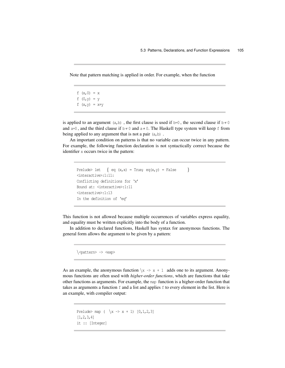Note that pattern matching is applied in order. For example, when the function

f  $(x, 0) = x$ f  $(0, y) = y$ f  $(x, y) = x+y$ 

is applied to an argument (a,b), the first clause is used if b=0, the second clause if  $b \neq 0$ and  $a=0$ , and the third clause if  $b \neq 0$  and  $a \neq 0$ . The Haskell type system will keep f from being applied to any argument that is not a pair  $(a, b)$ .

An important condition on patterns is that no variable can occur twice in any pattern. For example, the following function declaration is not syntactically correct because the identifier x occurs twice in the pattern:

```
Prelude> let \{ eq (x, x) = True; eq(x, y) = False \}<interactive>:1:11:
Conflicting definitions for 'x'
Bound at: <interactive>:1:11
<interactive>:1:13
In the definition of 'eq'
```
This function is not allowed because multiple occurrences of variables express equality, and equality must be written explicitly into the body of a function.

In addition to declared functions, Haskell has syntax for anonymous functions. The general form allows the argument to be given by a pattern:

*\*<pattern> -> <exp>

As an example, the anonymous function  $\langle x \rangle \rightarrow x + 1$  adds one to its argument. Anonymous functions are often used with *higher-order functions*, which are functions that take other functions as arguments. For example, the map function is a higher-order function that takes as arguments a function  $f$  and a list and applies  $f$  to every element in the list. Here is an example, with compiler output:

```
Prelude> map ( \x -> x + 1) [0,1,2,3]
[1,2,3,4]
it :: [Integer]
```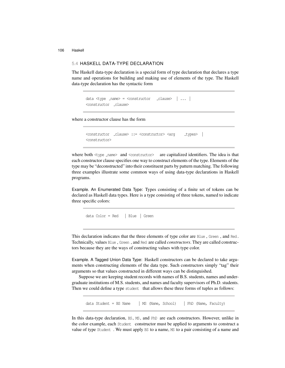#### 5.4 HASKELL DATA-TYPE DECLARATION

The Haskell data-type declaration is a special form of type declaration that declares a type name and operations for building and making use of elements of the type. The Haskell data-type declaration has the syntactic form

data <type name> = <constructor clause> *|* ... *|* <constructor \_clause>

where a constructor clause has the form

<constructor clause> ::= <constructor> <arg types> *|* <constructor>

where both  $\langle \text{type\_name} \rangle$  and  $\langle \text{constructor} \rangle$  are capitalized identifiers. The idea is that each constructor clause specifies one way to construct elements of the type. Elements of the type may be "deconstructed" into their constituent parts by pattern matching. The following three examples illustrate some common ways of using data-type declarations in Haskell programs.

Example. An Enumerated Data Type: Types consisting of a finite set of tokens can be declared as Haskell data types. Here is a type consisting of three tokens, named to indicate three specific colors:

data Color = Red *|* Blue *|* Green

This declaration indicates that the three elements of type color are Blue , Green , and Red . Technically, values Blue , Green , and Red are called *constructors*. They are called constructors because they are the ways of constructing values with type color.

Example. A Tagged Union Data Type: Haskell constructors can be declared to take arguments when constructing elements of the data type. Such constructors simply "tag" their arguments so that values constructed in different ways can be distinguished.

Suppose we are keeping student records with names of B.S. students, names and undergraduate institutions of M.S. students, and names and faculty supervisors of Ph.D. students. Then we could define a type student that allows these three forms of tuples as follows:

data Student = BS Name *|* MS (Name, School) *|* PhD (Name, Faculty)

In this data-type declaration, BS, MS, and PhD are each constructors. However, unlike in the color example, each Student constructor must be applied to arguments to construct a value of type Student . We must apply BS to a name, MS to a pair consisting of a name and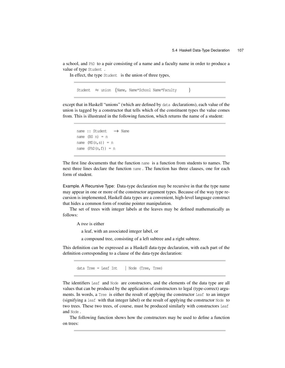a school, and PhD to a pair consisting of a name and a faculty name in order to produce a value of type Student .

In effect, the type Student is the union of three types,

```
Student ≈ union {Name, Name*School Name*Faculty }
```
except that in Haskell "unions" (which are defined by data declarations), each value of the union is tagged by a constructor that tells which of the constituent types the value comes from. This is illustrated in the following function, which returns the name of a student:

```
name :: Student → Name
name (BS \n n) = nname (MS(n, s)) = nname (PhD(n, f)) = n
```
The first line documents that the function name is a function from students to names. The next three lines declare the function name . The function has three clauses, one for each form of student.

Example. A Recursive Type: Data-type declaration may be recursive in that the type name may appear in one or more of the constructor argument types. Because of the way type recursion is implemented, Haskell data types are a convenient, high-level language construct that hides a common form of routine pointer manipulation.

The set of trees with integer labels at the leaves may be defined mathematically as follows:

A *tree* is either

a leaf, with an associated integer label, or

a compound tree, consisting of a left subtree and a right subtree.

This definition can be expressed as a Haskell data-type declaration, with each part of the definition corresponding to a clause of the data-type declaration:

data Tree = Leaf Int *|* Node (Tree, Tree)

The identifiers Leaf and Node are constructors, and the elements of the data type are all values that can be produced by the application of constructors to legal (type-correct) arguments. In words, a Tree is either the result of applying the constructor Leaf to an integer (signifying a leaf with that integer label) or the result of applying the constructor Node to two trees. These two trees, of course, must be produced similarly with constructors Leaf and Node .

The following function shows how the constructors may be used to define a function on trees: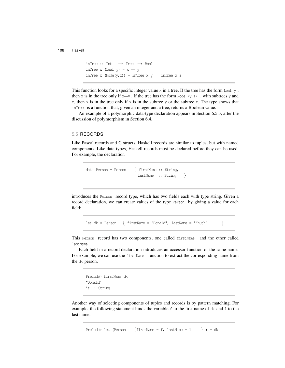```
inTree :: Int → Tree → Bool
inTree x (Leaf y) = x = yinTree x (Node(y, z)) = inTree x y || inTree x z
```
This function looks for a specific integer value  $x$  in a tree. If the tree has the form Leaf  $y$ , then x is in the tree only if  $x=y$ . If the tree has the form Node  $(y, z)$ , with subtrees y and z, then  $x$  is in the tree only if  $x$  is in the subtree  $y$  or the subtree z. The type shows that inTree is a function that, given an integer and a tree, returns a Boolean value.

An example of a polymorphic data-type declaration appears in Section 6.5.3, after the discussion of polymorphism in Section 6.4.

#### 5.5 RECORDS

Like Pascal records and C structs, Haskell records are similar to tuples, but with named components. Like data types, Haskell records must be declared before they can be used. For example, the declaration

```
data Person = Person { firstName :: String,
                       lastName :: String }
```
introduces the Person record type, which has two fields each with type string. Given a record declaration, we can create values of the type Person by giving a value for each field:

let dk = Person *{* firstName = "Donald", lastName = "Knuth" *}*

This Person record has two components, one called firstName and the other called lastName .

Each field in a record declaration introduces an accessor function of the same name. For example, we can use the firstName function to extract the corresponding name from the dk person.

```
Prelude> firstName dk
"Donald"
it :: String
```
Another way of selecting components of tuples and records is by pattern matching. For example, the following statement binds the variable  $f$  to the first name of  $dk$  and  $l$  to the last name.

Prelude> let (Person *{*firstName = f, lastName = l *}* ) = dk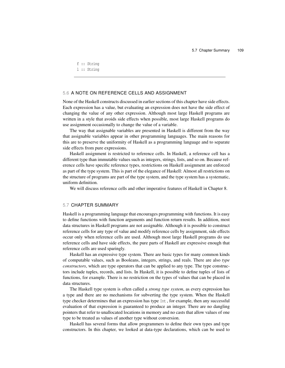```
f :: String
l :: String
```
#### 5.6 A NOTE ON REFERENCE CELLS AND ASSIGNMENT

None of the Haskell constructs discussed in earlier sections of this chapter have side effects. Each expression has a value, but evaluating an expression does not have the side effect of changing the value of any other expression. Although most large Haskell programs are written in a style that avoids side effects when possible, most large Haskell programs do use assignment occasionally to change the value of a variable.

The way that assignable variables are presented in Haskell is different from the way that assignable variables appear in other programming languages. The main reasons for this are to preserve the uniformity of Haskell as a programming language and to separate side effects from pure expressions.

Haskell assignment is restricted to reference cells. In Haskell, a reference cell has a different type than immutable values such as integers, strings, lists, and so on. Because reference cells have specific reference types, restrictions on Haskell assignment are enforced as part of the type system. This is part of the elegance of Haskell: Almost all restrictions on the structure of programs are part of the type system, and the type system has a systematic, uniform definition.

We will discuss reference cells and other imperative features of Haskell in Chapter 8.

#### 5.7 CHAPTER SUMMARY

Haskell is a programming language that encourages programming with functions. It is easy to define functions with function arguments and function return results. In addition, most data structures in Haskell programs are not assignable. Although it is possible to construct reference cells for any type of value and modify reference cells by assignment, side effects occur only when reference cells are used. Although most large Haskell programs do use reference cells and have side effects, the pure parts of Haskell are expressive enough that reference cells are used sparingly.

Haskell has an expressive type system. There are basic types for many common kinds of computable values, such as Booleans, integers, strings, and reals. There are also *type constructors*, which are type operators that can be applied to any type. The type constructors include tuples, records, and lists. In Haskell, it is possible to define tuples of lists of functions, for example. There is no restriction on the types of values that can be placed in data structures.

The Haskell type system is often called a *strong type system*, as every expression has a type and there are no mechanisms for subverting the type system. When the Haskell type checker determines that an expression has type Int , for example, then any successful evaluation of that expression is guaranteed to produce an integer. There are no dangling pointers that refer to unallocated locations in memory and no casts that allow values of one type to be treated as values of another type without conversion.

Haskell has several forms that allow programmers to define their own types and type constructors. In this chapter, we looked at data-type declarations, which can be used to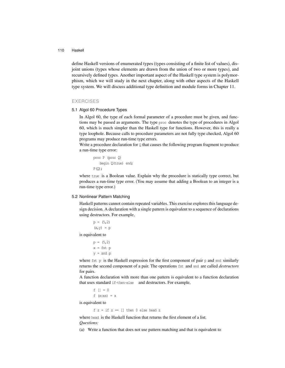define Haskell versions of enumerated types (types consisting of a finite list of values), disjoint unions (types whose elements are drawn from the union of two or more types), and recursively defined types. Another important aspect of the Haskell type system is polymorphism, which we will study in the next chapter, along with other aspects of the Haskell type system. We will discuss additional type definition and module forms in Chapter 11.

#### **EXERCISES**

#### 5.1 Algol 60 Procedure Types

In Algol 60, the type of each formal parameter of a procedure must be given, and functions may be passed as arguments. The type proc denotes the type of procedures in Algol 60, which is much simpler than the Haskell type for functions. However, this is really a type loophole. Because calls to procedure parameters are not fully type checked, Algol 60 programs may produce run-time type errors.

Write a procedure declaration for  $\mathcal Q$  that causes the following program fragment to produce a run-time type error:

```
proc P (proc Q)
   begin Q(true) end;
P(Q);
```
where true is a Boolean value. Explain why the procedure is statically type correct, but produces a run-time type error. (You may assume that adding a Boolean to an integer is a run-time type error.)

#### 5.2 Nonlinear Pattern Matching

Haskell patterns cannot contain repeated variables. This exercise explores this language design decision. A declaration with a single pattern is equivalent to a sequence of declarations using destructors. For example,

```
p = (5, 2)(x, y) = p
```
is equivalent to

 $p = (5, 2)$  $x = fst p$  $y =$  snd  $p$ 

where  $f$ st  $p$  is the Haskell expression for the first component of pair  $p$  and snd similarly returns the second component of a pair. The operations fst and snd are called *destructors* for pairs.

A function declaration with more than one pattern is equivalent to a function declaration that uses standard if-then-else and destructors. For example,

 $f | = 0$ f  $(x:xs) = x$ 

is equivalent to

 $f z = if z == []$  then 0 else head z

where head is the Haskell function that returns the first element of a list. *Questions:*

(a) Write a function that does not use pattern matching and that is equivalent to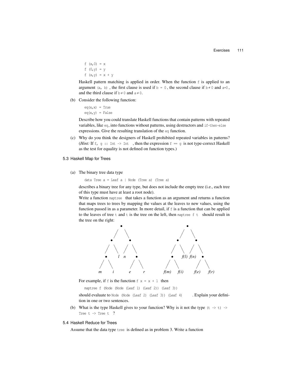```
f (x, 0) = xf (0, y) = yf (x, y) = x + y
```
Haskell pattern matching is applied in order. When the function f is applied to an argument (a, b), the first clause is used if  $b = 0$ , the second clause if  $b \neq 0$  and a=0, and the third clause if  $b \neq 0$  and  $a \neq 0$ .

(b) Consider the following function:

 $eq(x, x) = True$  $eq(x, y) = False$ 

Describe how you could translate Haskell functions that contain patterns with repeated variables, like eq, into functions without patterns, using destructors and if-then-else expressions. Give the resulting translation of the eq function.

- (c) Why do you think the designers of Haskell prohibited repeated variables in patterns? (*Hint*: If f, g :: Int  $\rightarrow$  Int , then the expression  $f = g$  is not type-correct Haskell as the test for equality is not defined on function types.)
- 5.3 Haskell Map for Trees
	- (a) The binary tree data type

data Tree  $a =$  Leaf  $a$  | Node (Tree a) (Tree a)

describes a binary tree for any type, but does not include the empty tree (i.e., each tree of this type must have at least a root node).

Write a function maptree that takes a function as an argument and returns a function that maps trees to trees by mapping the values at the leaves to new values, using the function passed in as a parameter. In more detail, if  $f$  is a function that can be applied to the leaves of tree  $t$  and  $t$  is the tree on the left, then maptree  $f$   $t$  should result in the tree on the right:



For example, if f is the function  $f(x) = x + 1$  then

maptree f (Node (Node (Leaf 1) (Leaf 2)) (Leaf 3))

should evaluate to Node (Node (Leaf 2) (Leaf 3)) (Leaf 4) . Explain your definition in one or two sentences.

- (b) What is the type Haskell gives to your function? Why is it not the type  $(t \rightarrow t) \rightarrow$ Tree  $t \rightarrow$  Tree  $t$  ?
- 5.4 Haskell Reduce for Trees

Assume that the data type tree is defined as in problem 3. Write a function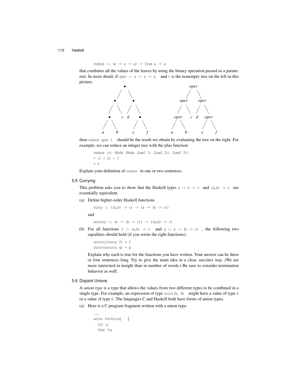reduce ::  $(a \rightarrow a \rightarrow a) \rightarrow$  Tree  $a \rightarrow a$ 

that combines all the values of the leaves by using the binary operation passed as a parameter. In more detail, if oper ::  $a \rightarrow a \rightarrow a$  and t is the nonempty tree on the left in this picture,



then reduce oper t should be the result we obtain by evaluating the tree on the right. For example, we can reduce an integer tree with the plus function:

reduce (+) (Node (Node (Leaf 1) (Leaf 2)) (Leaf 3))  $=$   $(1 + 2) + 3$ = 6

Explain your definition of reduce in one or two sentences.

#### 5.5 Currying

This problem asks you to show that the Haskell types  $a \rightarrow b \rightarrow c$  and  $(a,b) \rightarrow c$  are essentially equivalent.

(a) Define higher-order Haskell functions

curry ::  $((a, b) \rightarrow c) \rightarrow (a \rightarrow (b \rightarrow c))$ and

uncurry ::  $(a \rightarrow (b \rightarrow c)) \rightarrow ((a,b) \rightarrow c)$ 

(b) For all functions  $f : : (a,b) \rightarrow c$  and  $g : : a \rightarrow (b \rightarrow c)$ , the following two equalities should hold (if you wrote the right functions):

uncurry (curry  $f$ ) =  $f$ curry(uncurry g) = g

Explain why each is true for the functions you have written. Your answer can be three or four sentences long. Try to give the main idea in a clear, succinct way. (We are more interested in insight than in number of words.) Be sure to consider termination behavior as well.

#### 5.6 Disjoint Unions

A *union type* is a type that allows the values from two different types to be combined in a single type. For example, an expression of type union (A, B) might have a value of type A or a value of type B. The languages C and Haskell both have forms of union types.

(a) Here is a C program fragment written with a union type:

```
...
union IntString {
  int i;
  char *s;
```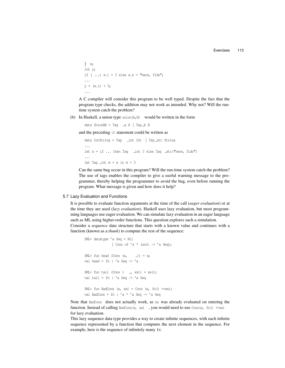```
} x;
int y;
if ( ...) x.i = 3 else x.s = "here, fido";...
y = (x,i) + 5;...
```
A C compiler will consider this program to be well typed. Despite the fact that the program type checks, the addition may not work as intended. Why not? Will the runtime system catch the problem?

(b) In Haskell, a union type union(A,B) would be written in the form

data UnionAB = Tag \_a A | Tag \_b B

and the preceding if statement could be written as

```
data IntString = Tag int Int | Tag str String
...
let x = if ... then Tag int 3 else Tag str("here, fido")
...
let Tag \text{int } m = x \text{ in } m + 5
```
Can the same bug occur in this program? Will the run-time system catch the problem? The use of tags enables the compiler to give a useful warning message to the programmer, thereby helping the programmer to avoid the bug, even before running the program. What message is given and how does it help?

#### 5.7 Lazy Evaluation and Functions

It is possible to evaluate function arguments at the time of the call (*eager evaluation*) or at the time they are used (*lazy evaluation*). Haskell uses lazy evaluation, but most programming languages use eager evaluation. We can simulate lazy evaluation in an eager language such as ML using higher-order functions. This question explores such a simulation.

Consider a *sequence* data structure that starts with a known value and continues with a function (known as a *thunk*) to compute the rest of the sequence:

```
SML> datatype 'a Seq = Nil
              | Cons of 'a * (unit -> 'a Seq);
SML> fun head (Cons (x, -)) = x;val head = fn : 'a Seq \rightarrow 'aSML> fun tail (Cons ( _{-r} xs)) = xs();
val tail = fn : 'a Seq -> 'a Seq
SML> fun BadCons (x, xs) = Cons (x, fn() =>xs);val BadCons = fn : 'a * 'a Seq -> 'a Seq
```
Note that BadCons does not actually work, as xs was already evaluated on entering the function. Instead of calling BadCons(x, xs), you would need to use Cons(x, fn() =>xs) for lazy evaluation.

This lazy sequence data type provides a way to create infinite sequences, with each infinite sequence represented by a function that computes the next element in the sequence. For example, here is the sequence of infinitely many 1s: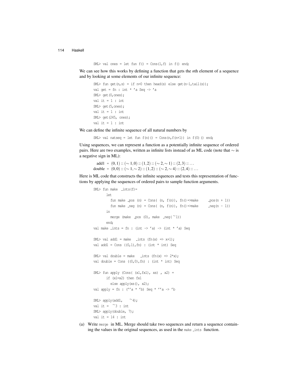SML> val ones = let fun  $f() = Cons(1, f)$  in  $f()$  end;

We can see how this works by defining a function that gets the *n*th element of a sequence and by looking at some elements of our infinite sequence:

```
SML> fun get(n,s) = if n=0 then head(s) else get(n-1,tail(s));
val get = fn : int * 'a Seq \rightarrow 'a
SML> get(0,ones);
val it = 1 : int
SML> get(5,ones);
val it = 1 : int
SML> get(245, ones);
val it = 1 : int
```
We can define the infinite sequence of all natural numbers by

SML> val natseq = let fun  $f(n)() =$  Cons $(n, f(n+1))$  in  $f(0)$  () end;

Using sequences, we can represent a function as a potentially infinite sequence of ordered pairs. Here are two examples, written as infinite lists instead of as ML code (note that *∼* is a negative sign in ML):

add1 = (0*,*1) :: (*∼* 1*,*0) :: (1*,*2) :: (*∼* 2*,∼* 1) :: (2*,*3) :: *...* double =  $(0,0)$  ::  $(\sim 1, \sim 2)$  ::  $(1,2)$  ::  $(\sim 2, \sim 4)$  ::  $(2,4)$  ::  $\ldots$ 

Here is ML code that constructs the infinite sequences and tests this representation of functions by applying the sequences of ordered pairs to sample function arguments.

```
SML> fun make -ints(f)=
       let
         fun make pos (n) = Cons( (n, f(n)), fn() =&gt; make <br/> -pos(n + 1))fun make \text{neg}(n) = \text{Cons}( (n, f(n)), f(n)) = \text{make} \text{neg}(n - 1)in
         merge (make pos (0), make neg( ∼1))
       end;
val make \text{ints} = \text{fn} : (int -> 'a) -> (int * 'a) Seq
SML> val add1 = make _ints (fn(x) => x+1);
val add1 = Cons ((0,1),fn) : (int * int) Seq
SML> val double = make _ints (fn(x) => 2*x);
val double = Cons ((0,0),fn) : (int * int) Seq
SML > fun apply (Cons( (x1, fx1), xs), x2) =
       if (x1=x2) then fx1
         else apply(xs(), x2);
val apply = fn : ('a * 'b) Seq * ''a \rightarrow 'bSML> apply(add1, ∼4);
val it = ∼3 : int
SML> apply(double, 7);
val it = 14 : int
```
(a) Write merge in ML. Merge should take two sequences and return a sequence containing the values in the original sequences, as used in the make lints function.